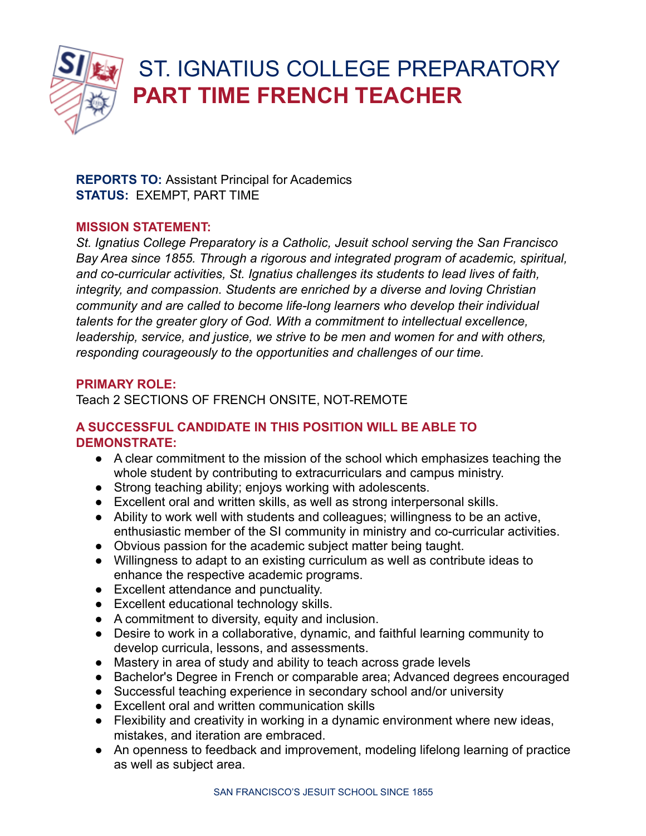

# ST. IGNATIUS COLLEGE PREPARATORY **PART TIME FRENCH TEACHER**

**REPORTS TO:** Assistant Principal for Academics **STATUS:** EXEMPT, PART TIME

#### **MISSION STATEMENT:**

*St. Ignatius College Preparatory is a Catholic, Jesuit school serving the San Francisco Bay Area since 1855. Through a rigorous and integrated program of academic, spiritual, and co-curricular activities, St. Ignatius challenges its students to lead lives of faith, integrity, and compassion. Students are enriched by a diverse and loving Christian community and are called to become life-long learners who develop their individual talents for the greater glory of God. With a commitment to intellectual excellence, leadership, service, and justice, we strive to be men and women for and with others, responding courageously to the opportunities and challenges of our time.*

#### **PRIMARY ROLE:**

Teach 2 SECTIONS OF FRENCH ONSITE, NOT-REMOTE

## **A SUCCESSFUL CANDIDATE IN THIS POSITION WILL BE ABLE TO DEMONSTRATE:**

- A clear commitment to the mission of the school which emphasizes teaching the whole student by contributing to extracurriculars and campus ministry.
- Strong teaching ability; enjoys working with adolescents.
- Excellent oral and written skills, as well as strong interpersonal skills.
- Ability to work well with students and colleagues; willingness to be an active, enthusiastic member of the SI community in ministry and co-curricular activities.
- Obvious passion for the academic subject matter being taught.
- Willingness to adapt to an existing curriculum as well as contribute ideas to enhance the respective academic programs.
- Excellent attendance and punctuality.
- Excellent educational technology skills.
- A commitment to diversity, equity and inclusion.
- Desire to work in a collaborative, dynamic, and faithful learning community to develop curricula, lessons, and assessments.
- Mastery in area of study and ability to teach across grade levels
- Bachelor's Degree in French or comparable area; Advanced degrees encouraged
- Successful teaching experience in secondary school and/or university
- Excellent oral and written communication skills
- Flexibility and creativity in working in a dynamic environment where new ideas, mistakes, and iteration are embraced.
- An openness to feedback and improvement, modeling lifelong learning of practice as well as subject area.